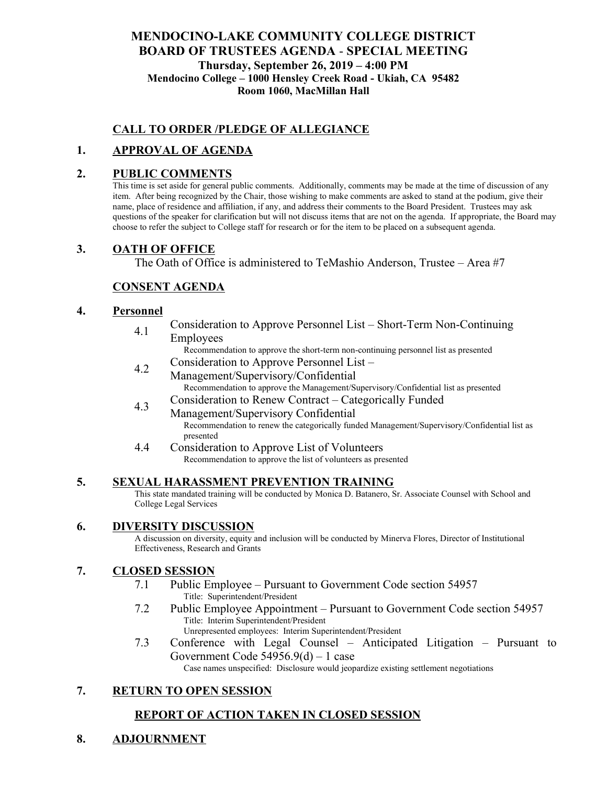# **MENDOCINO-LAKE COMMUNITY COLLEGE DISTRICT BOARD OF TRUSTEES AGENDA** - **SPECIAL MEETING Thursday, September 26, 2019 – 4:00 PM Mendocino College – 1000 Hensley Creek Road - Ukiah, CA 95482 Room 1060, MacMillan Hall**

# **CALL TO ORDER /PLEDGE OF ALLEGIANCE**

# **1. APPROVAL OF AGENDA**

### **2. PUBLIC COMMENTS**

This time is set aside for general public comments. Additionally, comments may be made at the time of discussion of any item. After being recognized by the Chair, those wishing to make comments are asked to stand at the podium, give their name, place of residence and affiliation, if any, and address their comments to the Board President. Trustees may ask questions of the speaker for clarification but will not discuss items that are not on the agenda. If appropriate, the Board may choose to refer the subject to College staff for research or for the item to be placed on a subsequent agenda.

### **3. OATH OF OFFICE**

The Oath of Office is administered to TeMashio Anderson, Trustee – Area #7

# **CONSENT AGENDA**

### **4. Personnel**

- 4.1 Consideration to Approve Personnel List – Short-Term Non-Continuing Employees
	- Recommendation to approve the short-term non-continuing personnel list as presented
- 4.2 Consideration to Approve Personnel List – Management/Supervisory/Confidential Recommendation to approve the Management/Supervisory/Confidential list as presented
- 4.3 Consideration to Renew Contract – Categorically Funded
	- Management/Supervisory Confidential Recommendation to renew the categorically funded Management/Supervisory/Confidential list as presented
- 4.4 Consideration to Approve List of Volunteers Recommendation to approve the list of volunteers as presented

### **5. SEXUAL HARASSMENT PREVENTION TRAINING**

This state mandated training will be conducted by Monica D. Batanero, Sr. Associate Counsel with School and College Legal Services

### **6. DIVERSITY DISCUSSION**

A discussion on diversity, equity and inclusion will be conducted by Minerva Flores, Director of Institutional Effectiveness, Research and Grants

## **7. CLOSED SESSION**

- 7.1 Public Employee Pursuant to Government Code section 54957 Title: Superintendent/President
- 7.2 Public Employee Appointment Pursuant to Government Code section 54957 Title: Interim Superintendent/President Unrepresented employees: Interim Superintendent/President
- 7.3 Conference with Legal Counsel Anticipated Litigation Pursuant to Government Code 54956.9(d) – 1 case

Case names unspecified: Disclosure would jeopardize existing settlement negotiations

## **7. RETURN TO OPEN SESSION**

## **REPORT OF ACTION TAKEN IN CLOSED SESSION**

**8. ADJOURNMENT**